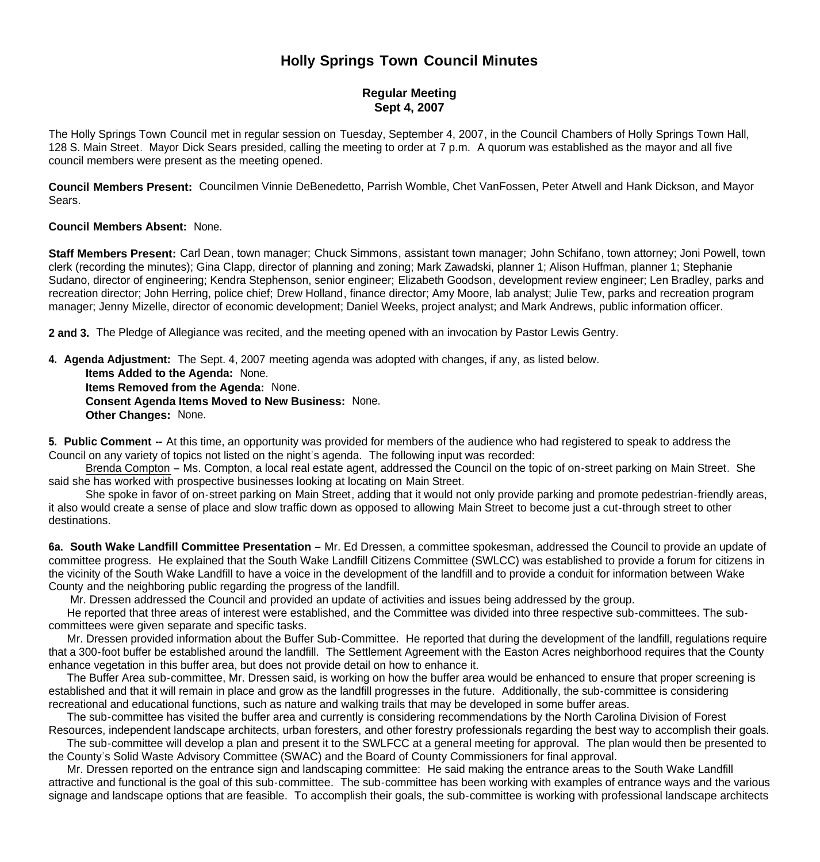## **Holly Springs Town Council Minutes**

## **Regular Meeting Sept 4, 2007**

The Holly Springs Town Council met in regular session on Tuesday, September 4, 2007, in the Council Chambers of Holly Springs Town Hall, 128 S. Main Street. Mayor Dick Sears presided, calling the meeting to order at 7 p.m. A quorum was established as the mayor and all five council members were present as the meeting opened.

**Council Members Present:** Councilmen Vinnie DeBenedetto, Parrish Womble, Chet VanFossen, Peter Atwell and Hank Dickson, and Mayor Sears.

## **Council Members Absent:** None.

**Staff Members Present:** Carl Dean, town manager; Chuck Simmons, assistant town manager; John Schifano, town attorney; Joni Powell, town clerk (recording the minutes); Gina Clapp, director of planning and zoning; Mark Zawadski, planner 1; Alison Huffman, planner 1; Stephanie Sudano, director of engineering; Kendra Stephenson, senior engineer; Elizabeth Goodson, development review engineer; Len Bradley, parks and recreation director; John Herring, police chief; Drew Holland, finance director; Amy Moore, lab analyst; Julie Tew, parks and recreation program manager; Jenny Mizelle, director of economic development; Daniel Weeks, project analyst; and Mark Andrews, public information officer.

**2 and 3.** The Pledge of Allegiance was recited, and the meeting opened with an invocation by Pastor Lewis Gentry.

**4. Agenda Adjustment:** The Sept. 4, 2007 meeting agenda was adopted with changes, if any, as listed below.

 **Items Added to the Agenda:** None. **Items Removed from the Agenda:** None. **Consent Agenda Items Moved to New Business:** None. **Other Changes:** None.

**5. Public Comment --** At this time, an opportunity was provided for members of the audience who had registered to speak to address the Council on any variety of topics not listed on the night's agenda. The following input was recorded:

 Brenda Compton – Ms. Compton, a local real estate agent, addressed the Council on the topic of on-street parking on Main Street. She said she has worked with prospective businesses looking at locating on Main Street.

 She spoke in favor of on-street parking on Main Street, adding that it would not only provide parking and promote pedestrian-friendly areas, it also would create a sense of place and slow traffic down as opposed to allowing Main Street to become just a cut-through street to other destinations.

**6a. South Wake Landfill Committee Presentation –** Mr. Ed Dressen, a committee spokesman, addressed the Council to provide an update of committee progress. He explained that the South Wake Landfill Citizens Committee (SWLCC) was established to provide a forum for citizens in the vicinity of the South Wake Landfill to have a voice in the development of the landfill and to provide a conduit for information between Wake County and the neighboring public regarding the progress of the landfill.

Mr. Dressen addressed the Council and provided an update of activities and issues being addressed by the group.

 He reported that three areas of interest were established, and the Committee was divided into three respective sub-committees. The subcommittees were given separate and specific tasks.

 Mr. Dressen provided information about the Buffer Sub-Committee. He reported that during the development of the landfill, regulations require that a 300-foot buffer be established around the landfill. The Settlement Agreement with the Easton Acres neighborhood requires that the County enhance vegetation in this buffer area, but does not provide detail on how to enhance it.

 The Buffer Area sub-committee, Mr. Dressen said, is working on how the buffer area would be enhanced to ensure that proper screening is established and that it will remain in place and grow as the landfill progresses in the future. Additionally, the sub-committee is considering recreational and educational functions, such as nature and walking trails that may be developed in some buffer areas.

The sub-committee has visited the buffer area and currently is considering recommendations by the North Carolina Division of Forest

Resources, independent landscape architects, urban foresters, and other forestry professionals regarding the best way to accomplish their goals. The sub-committee will develop a plan and present it to the SWLFCC at a general meeting for approval. The plan would then be presented to the County's Solid Waste Advisory Committee (SWAC) and the Board of County Commissioners for final approval.

 Mr. Dressen reported on the entrance sign and landscaping committee: He said making the entrance areas to the South Wake Landfill attractive and functional is the goal of this sub-committee. The sub-committee has been working with examples of entrance ways and the various signage and landscape options that are feasible. To accomplish their goals, the sub-committee is working with professional landscape architects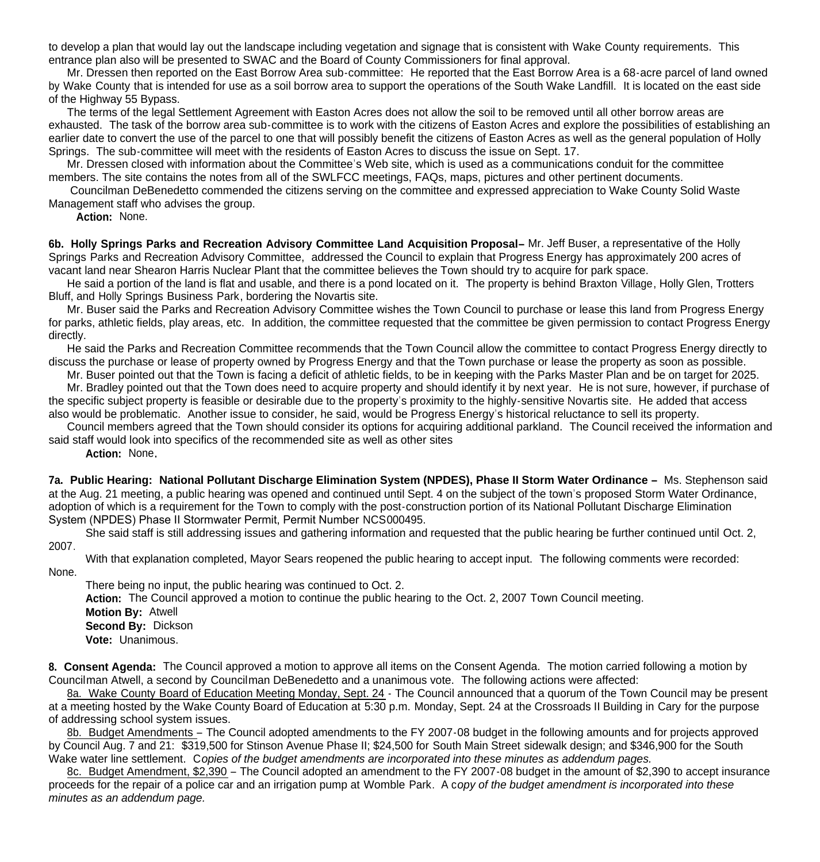to develop a plan that would lay out the landscape including vegetation and signage that is consistent with Wake County requirements. This entrance plan also will be presented to SWAC and the Board of County Commissioners for final approval.

 Mr. Dressen then reported on the East Borrow Area sub-committee: He reported that the East Borrow Area is a 68-acre parcel of land owned by Wake County that is intended for use as a soil borrow area to support the operations of the South Wake Landfill. It is located on the east side of the Highway 55 Bypass.

 The terms of the legal Settlement Agreement with Easton Acres does not allow the soil to be removed until all other borrow areas are exhausted. The task of the borrow area sub-committee is to work with the citizens of Easton Acres and explore the possibilities of establishing an earlier date to convert the use of the parcel to one that will possibly benefit the citizens of Easton Acres as well as the general population of Holly Springs. The sub-committee will meet with the residents of Easton Acres to discuss the issue on Sept. 17.

 Mr. Dressen closed with information about the Committee's Web site, which is used as a communications conduit for the committee members. The site contains the notes from all of the SWLFCC meetings, FAQs, maps, pictures and other pertinent documents.

 Councilman DeBenedetto commended the citizens serving on the committee and expressed appreciation to Wake County Solid Waste Management staff who advises the group.

 **Action:** None.

**6b. Holly Springs Parks and Recreation Advisory Committee Land Acquisition Proposal–** Mr. Jeff Buser, a representative of the Holly Springs Parks and Recreation Advisory Committee, addressed the Council to explain that Progress Energy has approximately 200 acres of vacant land near Shearon Harris Nuclear Plant that the committee believes the Town should try to acquire for park space.

 He said a portion of the land is flat and usable, and there is a pond located on it. The property is behind Braxton Village, Holly Glen, Trotters Bluff, and Holly Springs Business Park, bordering the Novartis site.

 Mr. Buser said the Parks and Recreation Advisory Committee wishes the Town Council to purchase or lease this land from Progress Energy for parks, athletic fields, play areas, etc. In addition, the committee requested that the committee be given permission to contact Progress Energy directly.

 He said the Parks and Recreation Committee recommends that the Town Council allow the committee to contact Progress Energy directly to discuss the purchase or lease of property owned by Progress Energy and that the Town purchase or lease the property as soon as possible.

 Mr. Buser pointed out that the Town is facing a deficit of athletic fields, to be in keeping with the Parks Master Plan and be on target for 2025. Mr. Bradley pointed out that the Town does need to acquire property and should identify it by next year. He is not sure, however, if purchase of the specific subject property is feasible or desirable due to the property's proximity to the highly-sensitive Novartis site. He added that access

also would be problematic. Another issue to consider, he said, would be Progress Energy's historical reluctance to sell its property. Council members agreed that the Town should consider its options for acquiring additional parkland. The Council received the information and

said staff would look into specifics of the recommended site as well as other sites

**Action:** None**.**

**7a. Public Hearing: National Pollutant Discharge Elimination System (NPDES), Phase II Storm Water Ordinance –** Ms. Stephenson said at the Aug. 21 meeting, a public hearing was opened and continued until Sept. 4 on the subject of the town's proposed Storm Water Ordinance, adoption of which is a requirement for the Town to comply with the post-construction portion of its National Pollutant Discharge Elimination System (NPDES) Phase II Stormwater Permit, Permit Number NCS000495.

She said staff is still addressing issues and gathering information and requested that the public hearing be further continued until Oct. 2, 2007.

With that explanation completed, Mayor Sears reopened the public hearing to accept input. The following comments were recorded: None.

There being no input, the public hearing was continued to Oct. 2.

 **Action:** The Council approved a motion to continue the public hearing to the Oct. 2, 2007 Town Council meeting.

 **Motion By:** Atwell **Second By:** Dickson

**Vote:** Unanimous.

**8. Consent Agenda:** The Council approved a motion to approve all items on the Consent Agenda. The motion carried following a motion by Councilman Atwell, a second by Councilman DeBenedetto and a unanimous vote. The following actions were affected:

 8a. Wake County Board of Education Meeting Monday, Sept. 24 - The Council announced that a quorum of the Town Council may be present at a meeting hosted by the Wake County Board of Education at 5:30 p.m. Monday, Sept. 24 at the Crossroads II Building in Cary for the purpose of addressing school system issues.

 8b. Budget Amendments – The Council adopted amendments to the FY 2007-08 budget in the following amounts and for projects approved by Council Aug. 7 and 21: \$319,500 for Stinson Avenue Phase II; \$24,500 for South Main Street sidewalk design; and \$346,900 for the South Wake water line settlement. C*opies of the budget amendments are incorporated into these minutes as addendum pages.*

 8c. Budget Amendment, \$2,390 – The Council adopted an amendment to the FY 2007-08 budget in the amount of \$2,390 to accept insurance proceeds for the repair of a police car and an irrigation pump at Womble Park. A c*opy of the budget amendment is incorporated into these minutes as an addendum page.*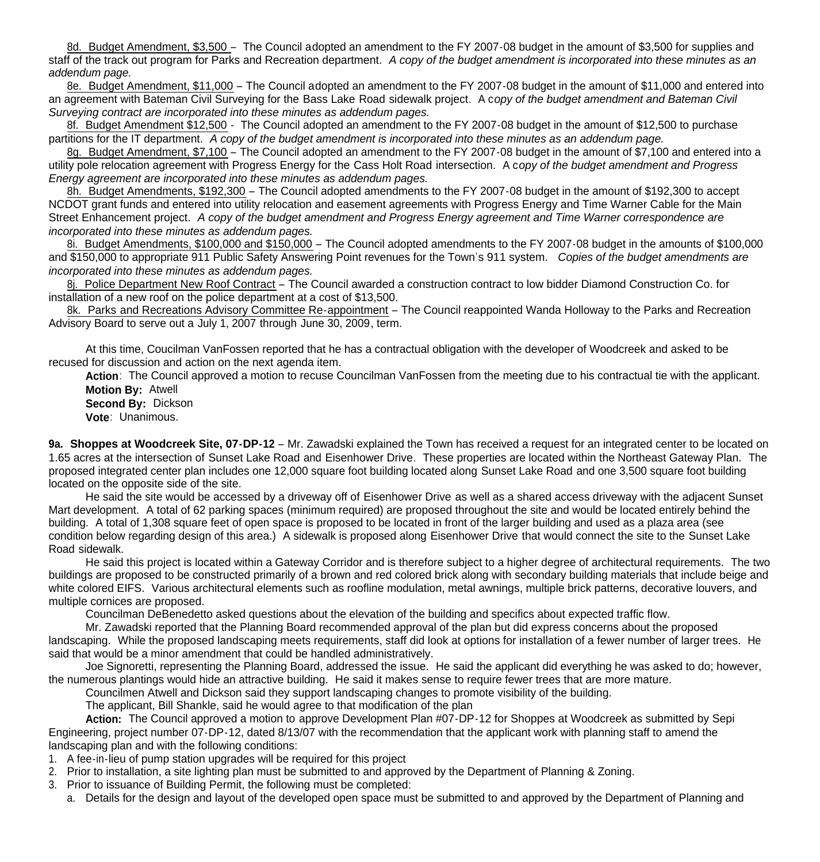8d. Budget Amendment, \$3,500 – The Council adopted an amendment to the FY 2007-08 budget in the amount of \$3,500 for supplies and staff of the track out program for Parks and Recreation department. *A copy of the budget amendment is incorporated into these minutes as an addendum page.*

 8e. Budget Amendment, \$11,000 – The Council adopted an amendment to the FY 2007-08 budget in the amount of \$11,000 and entered into an agreement with Bateman Civil Surveying for the Bass Lake Road sidewalk project. A c*opy of the budget amendment and Bateman Civil Surveying contract are incorporated into these minutes as addendum pages.*

8f. Budget Amendment \$12,500 - The Council adopted an amendment to the FY 2007-08 budget in the amount of \$12,500 to purchase partitions for the IT department. *A copy of the budget amendment is incorporated into these minutes as an addendum page.*

8g. Budget Amendment, \$7,100 – The Council adopted an amendment to the FY 2007-08 budget in the amount of \$7,100 and entered into a utility pole relocation agreement with Progress Energy for the Cass Holt Road intersection. A c*opy of the budget amendment and Progress Energy agreement are incorporated into these minutes as addendum pages.*

 8h. Budget Amendments, \$192,300 – The Council adopted amendments to the FY 2007-08 budget in the amount of \$192,300 to accept NCDOT grant funds and entered into utility relocation and easement agreements with Progress Energy and Time Warner Cable for the Main Street Enhancement project. *A copy of the budget amendment and Progress Energy agreement and Time Warner correspondence are incorporated into these minutes as addendum pages.*

 8i. Budget Amendments, \$100,000 and \$150,000 – The Council adopted amendments to the FY 2007-08 budget in the amounts of \$100,000 and \$150,000 to appropriate 911 Public Safety Answering Point revenues for the Town's 911 system.*Copies of the budget amendments are incorporated into these minutes as addendum pages.*

 8j. Police Department New Roof Contract – The Council awarded a construction contract to low bidder Diamond Construction Co. for installation of a new roof on the police department at a cost of \$13,500.

8k. Parks and Recreations Advisory Committee Re-appointment – The Council reappointed Wanda Holloway to the Parks and Recreation Advisory Board to serve out a July 1, 2007 through June 30, 2009, term.

 At this time, Coucilman VanFossen reported that he has a contractual obligation with the developer of Woodcreek and asked to be recused for discussion and action on the next agenda item.

 **Action**: The Council approved a motion to recuse Councilman VanFossen from the meeting due to his contractual tie with the applicant.  **Motion By:** Atwell

**Second By:** Dickson

**Vote**: Unanimous.

**9a.** Shoppes at Woodcreek Site, 07-DP-12 – Mr. Zawadski explained the Town has received a request for an integrated center to be located on 1.65 acres at the intersection of Sunset Lake Road and Eisenhower Drive. These properties are located within the Northeast Gateway Plan. The proposed integrated center plan includes one 12,000 square foot building located along Sunset Lake Road and one 3,500 square foot building located on the opposite side of the site.

He said the site would be accessed by a driveway off of Eisenhower Drive as well as a shared access driveway with the adjacent Sunset Mart development. A total of 62 parking spaces (minimum required) are proposed throughout the site and would be located entirely behind the building. A total of 1,308 square feet of open space is proposed to be located in front of the larger building and used as a plaza area (see condition below regarding design of this area.) A sidewalk is proposed along Eisenhower Drive that would connect the site to the Sunset Lake Road sidewalk.

 He said this project is located within a Gateway Corridor and is therefore subject to a higher degree of architectural requirements. The two buildings are proposed to be constructed primarily of a brown and red colored brick along with secondary building materials that include beige and white colored EIFS. Various architectural elements such as roofline modulation, metal awnings, multiple brick patterns, decorative louvers, and multiple cornices are proposed.

Councilman DeBenedetto asked questions about the elevation of the building and specifics about expected traffic flow.

 Mr. Zawadski reported that the Planning Board recommended approval of the plan but did express concerns about the proposed landscaping. While the proposed landscaping meets requirements, staff did look at options for installation of a fewer number of larger trees. He said that would be a minor amendment that could be handled administratively.

 Joe Signoretti, representing the Planning Board, addressed the issue. He said the applicant did everything he was asked to do; however, the numerous plantings would hide an attractive building. He said it makes sense to require fewer trees that are more mature.

Councilmen Atwell and Dickson said they support landscaping changes to promote visibility of the building.

The applicant, Bill Shankle, said he would agree to that modification of the plan

**Action:** The Council approved a motion to approve Development Plan #07-DP-12 for Shoppes at Woodcreek as submitted by Sepi Engineering, project number 07-DP-12, dated 8/13/07 with the recommendation that the applicant work with planning staff to amend the landscaping plan and with the following conditions:

- 1. A fee-in-lieu of pump station upgrades will be required for this project
- 2. Prior to installation, a site lighting plan must be submitted to and approved by the Department of Planning & Zoning.
- 3. Prior to issuance of Building Permit, the following must be completed:
	- a. Details for the design and layout of the developed open space must be submitted to and approved by the Department of Planning and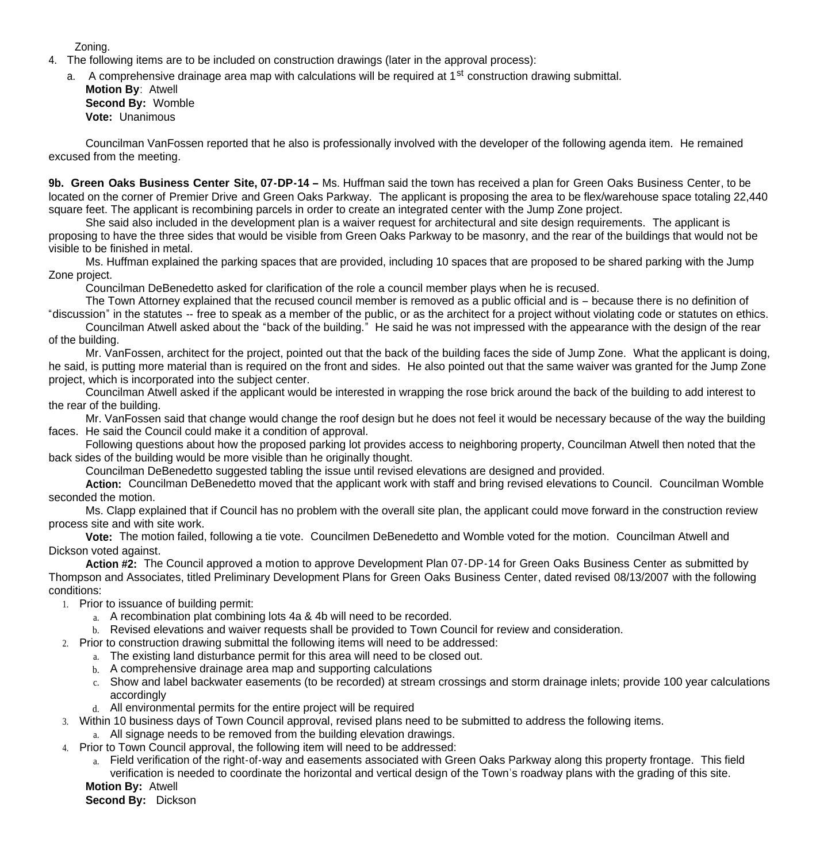Zoning.

- 4. The following items are to be included on construction drawings (later in the approval process):
	- a. A comprehensive drainage area map with calculations will be required at 1<sup>st</sup> construction drawing submittal.

**Motion By**: Atwell **Second By:** Womble **Vote:** Unanimous

Councilman VanFossen reported that he also is professionally involved with the developer of the following agenda item. He remained excused from the meeting.

**9b. Green Oaks Business Center Site, 07-DP-14 –** Ms. Huffman said the town has received a plan for Green Oaks Business Center, to be located on the corner of Premier Drive and Green Oaks Parkway. The applicant is proposing the area to be flex/warehouse space totaling 22,440 square feet. The applicant is recombining parcels in order to create an integrated center with the Jump Zone project.

 She said also included in the development plan is a waiver request for architectural and site design requirements. The applicant is proposing to have the three sides that would be visible from Green Oaks Parkway to be masonry, and the rear of the buildings that would not be visible to be finished in metal.

 Ms. Huffman explained the parking spaces that are provided, including 10 spaces that are proposed to be shared parking with the Jump Zone project.

Councilman DeBenedetto asked for clarification of the role a council member plays when he is recused.

 The Town Attorney explained that the recused council member is removed as a public official and is – because there is no definition of "discussion" in the statutes -- free to speak as a member of the public, or as the architect for a project without violating code or statutes on ethics.

 Councilman Atwell asked about the "back of the building." He said he was not impressed with the appearance with the design of the rear of the building.

 Mr. VanFossen, architect for the project, pointed out that the back of the building faces the side of Jump Zone. What the applicant is doing, he said, is putting more material than is required on the front and sides. He also pointed out that the same waiver was granted for the Jump Zone project, which is incorporated into the subject center.

 Councilman Atwell asked if the applicant would be interested in wrapping the rose brick around the back of the building to add interest to the rear of the building.

 Mr. VanFossen said that change would change the roof design but he does not feel it would be necessary because of the way the building faces. He said the Council could make it a condition of approval.

 Following questions about how the proposed parking lot provides access to neighboring property, Councilman Atwell then noted that the back sides of the building would be more visible than he originally thought.

Councilman DeBenedetto suggested tabling the issue until revised elevations are designed and provided.

 **Action:** Councilman DeBenedetto moved that the applicant work with staff and bring revised elevations to Council. Councilman Womble seconded the motion.

 Ms. Clapp explained that if Council has no problem with the overall site plan, the applicant could move forward in the construction review process site and with site work.

 **Vote:** The motion failed, following a tie vote. Councilmen DeBenedetto and Womble voted for the motion. Councilman Atwell and Dickson voted against.

**Action #2:** The Council approved a motion to approve Development Plan 07-DP-14 for Green Oaks Business Center as submitted by Thompson and Associates, titled Preliminary Development Plans for Green Oaks Business Center, dated revised 08/13/2007 with the following conditions:

- 1. Prior to issuance of building permit:
	- a. A recombination plat combining lots 4a & 4b will need to be recorded.
	- b. Revised elevations and waiver requests shall be provided to Town Council for review and consideration.
- 2. Prior to construction drawing submittal the following items will need to be addressed:
	- a. The existing land disturbance permit for this area will need to be closed out.
	- b. A comprehensive drainage area map and supporting calculations
	- c. Show and label backwater easements (to be recorded) at stream crossings and storm drainage inlets; provide 100 year calculations accordingly
	- d. All environmental permits for the entire project will be required
- 3. Within 10 business days of Town Council approval, revised plans need to be submitted to address the following items.
	- a. All signage needs to be removed from the building elevation drawings.
- 4. Prior to Town Council approval, the following item will need to be addressed:
	- a. Field verification of the right-of-way and easements associated with Green Oaks Parkway along this property frontage. This field verification is needed to coordinate the horizontal and vertical design of the Town's roadway plans with the grading of this site.

**Motion By:** Atwell

**Second By:** Dickson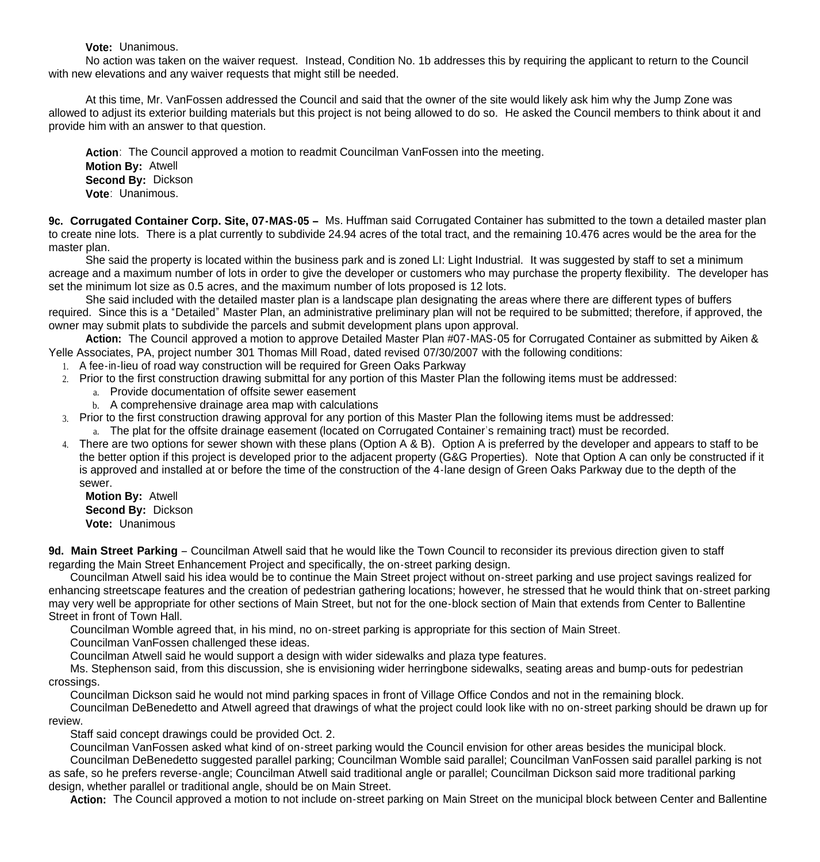**Vote:** Unanimous.

 No action was taken on the waiver request. Instead, Condition No. 1b addresses this by requiring the applicant to return to the Council with new elevations and any waiver requests that might still be needed.

 At this time, Mr. VanFossen addressed the Council and said that the owner of the site would likely ask him why the Jump Zone was allowed to adjust its exterior building materials but this project is not being allowed to do so. He asked the Council members to think about it and provide him with an answer to that question.

**Action**: The Council approved a motion to readmit Councilman VanFossen into the meeting.  **Motion By:** Atwell **Second By:** Dickson **Vote**: Unanimous.

**9c. Corrugated Container Corp. Site, 07-MAS-05 –** Ms. Huffman said Corrugated Container has submitted to the town a detailed master plan to create nine lots. There is a plat currently to subdivide 24.94 acres of the total tract, and the remaining 10.476 acres would be the area for the master plan.

She said the property is located within the business park and is zoned LI: Light Industrial. It was suggested by staff to set a minimum acreage and a maximum number of lots in order to give the developer or customers who may purchase the property flexibility. The developer has set the minimum lot size as 0.5 acres, and the maximum number of lots proposed is 12 lots.

She said included with the detailed master plan is a landscape plan designating the areas where there are different types of buffers required. Since this is a "Detailed" Master Plan, an administrative preliminary plan will not be required to be submitted; therefore, if approved, the owner may submit plats to subdivide the parcels and submit development plans upon approval.

**Action:** The Council approved a motion to approve Detailed Master Plan #07-MAS-05 for Corrugated Container as submitted by Aiken & Yelle Associates, PA, project number 301 Thomas Mill Road, dated revised 07/30/2007 with the following conditions:

- 1. A fee-in-lieu of road way construction will be required for Green Oaks Parkway
- 2. Prior to the first construction drawing submittal for any portion of this Master Plan the following items must be addressed:
	- a. Provide documentation of offsite sewer easement
	- b. A comprehensive drainage area map with calculations
- 3. Prior to the first construction drawing approval for any portion of this Master Plan the following items must be addressed:
	- a. The plat for the offsite drainage easement (located on Corrugated Container's remaining tract) must be recorded.
- 4. There are two options for sewer shown with these plans (Option A & B). Option A is preferred by the developer and appears to staff to be the better option if this project is developed prior to the adjacent property (G&G Properties). Note that Option A can only be constructed if it is approved and installed at or before the time of the construction of the 4-lane design of Green Oaks Parkway due to the depth of the sewer.

**Motion By:** Atwell **Second By:** Dickson **Vote:** Unanimous

9d. Main Street Parking – Councilman Atwell said that he would like the Town Council to reconsider its previous direction given to staff regarding the Main Street Enhancement Project and specifically, the on-street parking design.

 Councilman Atwell said his idea would be to continue the Main Street project without on-street parking and use project savings realized for enhancing streetscape features and the creation of pedestrian gathering locations; however, he stressed that he would think that on-street parking may very well be appropriate for other sections of Main Street, but not for the one-block section of Main that extends from Center to Ballentine Street in front of Town Hall.

Councilman Womble agreed that, in his mind, no on-street parking is appropriate for this section of Main Street.

Councilman VanFossen challenged these ideas.

Councilman Atwell said he would support a design with wider sidewalks and plaza type features.

 Ms. Stephenson said, from this discussion, she is envisioning wider herringbone sidewalks, seating areas and bump-outs for pedestrian crossings.

Councilman Dickson said he would not mind parking spaces in front of Village Office Condos and not in the remaining block.

 Councilman DeBenedetto and Atwell agreed that drawings of what the project could look like with no on-street parking should be drawn up for review.

Staff said concept drawings could be provided Oct. 2.

Councilman VanFossen asked what kind of on-street parking would the Council envision for other areas besides the municipal block.

 Councilman DeBenedetto suggested parallel parking; Councilman Womble said parallel; Councilman VanFossen said parallel parking is not as safe, so he prefers reverse-angle; Councilman Atwell said traditional angle or parallel; Councilman Dickson said more traditional parking design, whether parallel or traditional angle, should be on Main Street.

**Action:** The Council approved a motion to not include on-street parking on Main Street on the municipal block between Center and Ballentine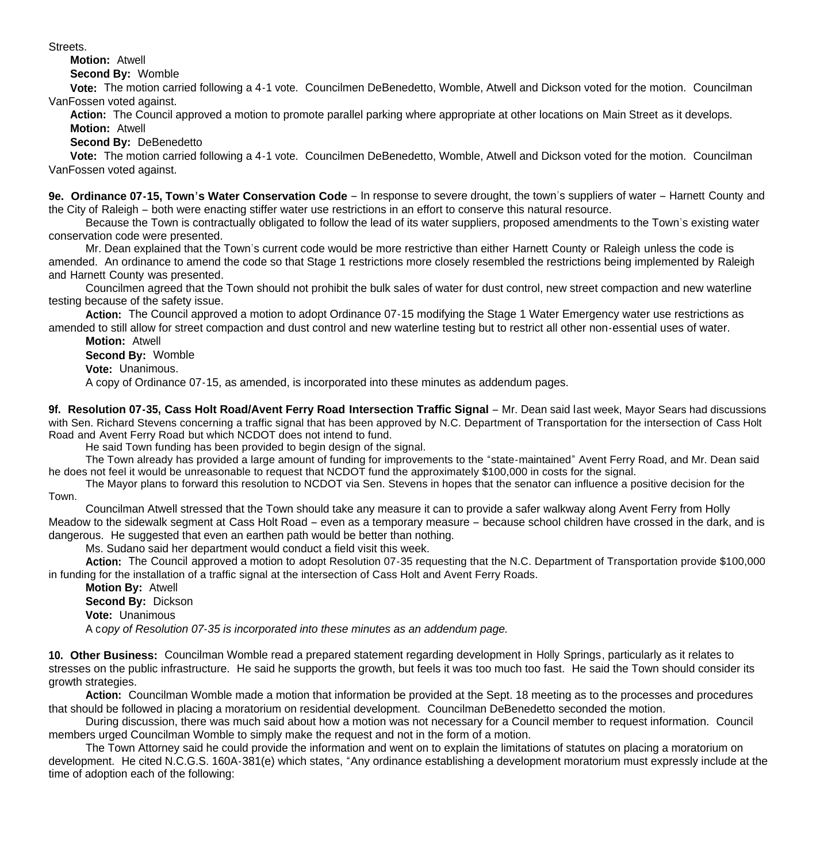Streets.

**Motion:** Atwell

**Second By:** Womble

 **Vote:** The motion carried following a 4-1 vote. Councilmen DeBenedetto, Womble, Atwell and Dickson voted for the motion. Councilman VanFossen voted against.

 **Action:** The Council approved a motion to promote parallel parking where appropriate at other locations on Main Street as it develops. **Motion:** Atwell

**Second By:** DeBenedetto

 **Vote:** The motion carried following a 4-1 vote. Councilmen DeBenedetto, Womble, Atwell and Dickson voted for the motion. Councilman VanFossen voted against.

**9e. Ordinance 07-15, Town's Water Conservation Code** – In response to severe drought, the town's suppliers of water – Harnett County and the City of Raleigh – both were enacting stiffer water use restrictions in an effort to conserve this natural resource.

 Because the Town is contractually obligated to follow the lead of its water suppliers, proposed amendments to the Town's existing water conservation code were presented.

 Mr. Dean explained that the Town's current code would be more restrictive than either Harnett County or Raleigh unless the code is amended. An ordinance to amend the code so that Stage 1 restrictions more closely resembled the restrictions being implemented by Raleigh and Harnett County was presented.

 Councilmen agreed that the Town should not prohibit the bulk sales of water for dust control, new street compaction and new waterline testing because of the safety issue.

 **Action:** The Council approved a motion to adopt Ordinance 07-15 modifying the Stage 1 Water Emergency water use restrictions as amended to still allow for street compaction and dust control and new waterline testing but to restrict all other non-essential uses of water.

 **Motion:** Atwell **Second By:** Womble

**Vote:** Unanimous.

A copy of Ordinance 07-15, as amended, is incorporated into these minutes as addendum pages.

9f. Resolution 07-35, Cass Holt Road/Avent Ferry Road Intersection Traffic Signal – Mr. Dean said last week, Mayor Sears had discussions with Sen. Richard Stevens concerning a traffic signal that has been approved by N.C. Department of Transportation for the intersection of Cass Holt Road and Avent Ferry Road but which NCDOT does not intend to fund.

He said Town funding has been provided to begin design of the signal.

 The Town already has provided a large amount of funding for improvements to the "state-maintained" Avent Ferry Road, and Mr. Dean said he does not feel it would be unreasonable to request that NCDOT fund the approximately \$100,000 in costs for the signal.

 The Mayor plans to forward this resolution to NCDOT via Sen. Stevens in hopes that the senator can influence a positive decision for the Town.

 Councilman Atwell stressed that the Town should take any measure it can to provide a safer walkway along Avent Ferry from Holly Meadow to the sidewalk segment at Cass Holt Road – even as a temporary measure – because school children have crossed in the dark, and is dangerous. He suggested that even an earthen path would be better than nothing.

Ms. Sudano said her department would conduct a field visit this week.

**Action:** The Council approved a motion to adopt Resolution 07-35 requesting that the N.C. Department of Transportation provide \$100,000 in funding for the installation of a traffic signal at the intersection of Cass Holt and Avent Ferry Roads.

**Motion By:** Atwell **Second By:** Dickson **Vote:** Unanimous A c*opy of Resolution 07-35 is incorporated into these minutes as an addendum page.*

**10. Other Business:** Councilman Womble read a prepared statement regarding development in Holly Springs, particularly as it relates to stresses on the public infrastructure. He said he supports the growth, but feels it was too much too fast. He said the Town should consider its growth strategies.

 **Action:** Councilman Womble made a motion that information be provided at the Sept. 18 meeting as to the processes and procedures that should be followed in placing a moratorium on residential development. Councilman DeBenedetto seconded the motion.

 During discussion, there was much said about how a motion was not necessary for a Council member to request information. Council members urged Councilman Womble to simply make the request and not in the form of a motion.

 The Town Attorney said he could provide the information and went on to explain the limitations of statutes on placing a moratorium on development. He cited N.C.G.S. 160A-381(e) which states, "Any ordinance establishing a development moratorium must expressly include at the time of adoption each of the following: